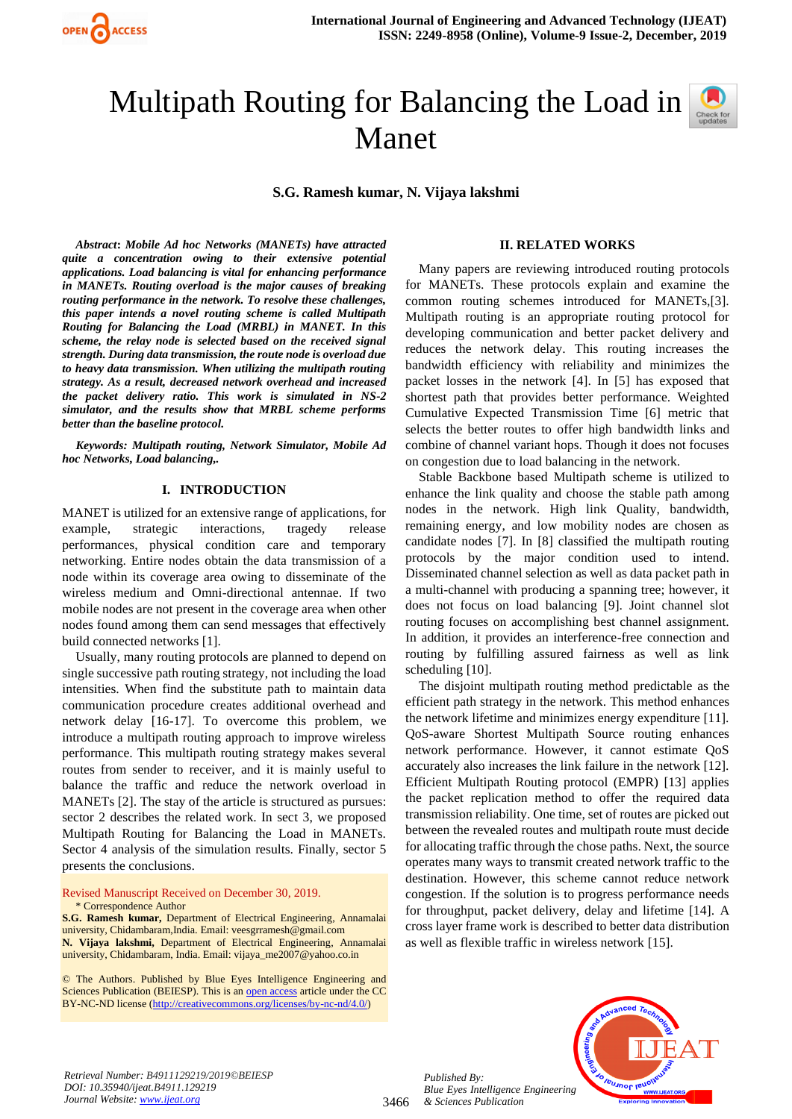

# Multipath Routing for Balancing the Load in Manet

**S.G. Ramesh kumar, N. Vijaya lakshmi**

*Abstract***:** *Mobile Ad hoc Networks (MANETs) have attracted quite a concentration owing to their extensive potential applications. Load balancing is vital for enhancing performance in MANETs. Routing overload is the major causes of breaking routing performance in the network. To resolve these challenges, this paper intends a novel routing scheme is called Multipath Routing for Balancing the Load (MRBL) in MANET. In this scheme, the relay node is selected based on the received signal strength. During data transmission, the route node is overload due to heavy data transmission. When utilizing the multipath routing strategy. As a result, decreased network overhead and increased the packet delivery ratio. This work is simulated in NS-2 simulator, and the results show that MRBL scheme performs better than the baseline protocol.*

*Keywords: Multipath routing, Network Simulator, Mobile Ad hoc Networks, Load balancing,.* 

## **I. INTRODUCTION**

MANET is utilized for an extensive range of applications, for example, strategic interactions, tragedy release performances, physical condition care and temporary networking. Entire nodes obtain the data transmission of a node within its coverage area owing to disseminate of the wireless medium and Omni-directional antennae. If two mobile nodes are not present in the coverage area when other nodes found among them can send messages that effectively build connected networks [1].

Usually, many routing protocols are planned to depend on single successive path routing strategy, not including the load intensities. When find the substitute path to maintain data communication procedure creates additional overhead and network delay [16-17]. To overcome this problem, we introduce a multipath routing approach to improve wireless performance. This multipath routing strategy makes several routes from sender to receiver, and it is mainly useful to balance the traffic and reduce the network overload in MANETs [2]. The stay of the article is structured as pursues: sector 2 describes the related work. In sect 3, we proposed Multipath Routing for Balancing the Load in MANETs. Sector 4 analysis of the simulation results. Finally, sector 5 presents the conclusions.

Revised Manuscript Received on December 30, 2019. \* Correspondence Author

**S.G. Ramesh kumar,** Department of Electrical Engineering, Annamalai university, Chidambaram,India. Email[: veesgrramesh@gmail.com](mailto:veesgrramesh@gmail.com) **N. Vijaya lakshmi,** Department of Electrical Engineering, Annamalai university, Chidambaram, India. Email: [vijaya\\_me2007@yahoo.co.in](mailto:vijaya_me2007@yahoo.co.in)

© The Authors. Published by Blue Eyes Intelligence Engineering and Sciences Publication (BEIESP). This is a[n open access](https://www.openaccess.nl/en/open-publications) article under the CC BY-NC-ND license [\(http://creativecommons.org/licenses/by-nc-nd/4.0/\)](http://creativecommons.org/licenses/by-nc-nd/4.0/)

#### **II. RELATED WORKS**

Many papers are reviewing introduced routing protocols for MANETs. These protocols explain and examine the common routing schemes introduced for MANETs,[3]. Multipath routing is an appropriate routing protocol for developing communication and better packet delivery and reduces the network delay. This routing increases the bandwidth efficiency with reliability and minimizes the packet losses in the network [4]. In [5] has exposed that shortest path that provides better performance. Weighted Cumulative Expected Transmission Time [6] metric that selects the better routes to offer high bandwidth links and combine of channel variant hops. Though it does not focuses on congestion due to load balancing in the network.

Stable Backbone based Multipath scheme is utilized to enhance the link quality and choose the stable path among nodes in the network. High link Quality, bandwidth, remaining energy, and low mobility nodes are chosen as candidate nodes [7]. In [8] classified the multipath routing protocols by the major condition used to intend. Disseminated channel selection as well as data packet path in a multi-channel with producing a spanning tree; however, it does not focus on load balancing [9]. Joint channel slot routing focuses on accomplishing best channel assignment. In addition, it provides an interference-free connection and routing by fulfilling assured fairness as well as link scheduling [10].

The disjoint multipath routing method predictable as the efficient path strategy in the network. This method enhances the network lifetime and minimizes energy expenditure [11]. QoS-aware Shortest Multipath Source routing enhances network performance. However, it cannot estimate QoS accurately also increases the link failure in the network [12]. Efficient Multipath Routing protocol (EMPR) [13] applies the packet replication method to offer the required data transmission reliability. One time, set of routes are picked out between the revealed routes and multipath route must decide for allocating traffic through the chose paths. Next, the source operates many ways to transmit created network traffic to the destination. However, this scheme cannot reduce network congestion. If the solution is to progress performance needs for throughput, packet delivery, delay and lifetime [14]. A cross layer frame work is described to better data distribution as well as flexible traffic in wireless network [15].



3466 *Published By: Blue Eyes Intelligence Engineering & Sciences Publication* 

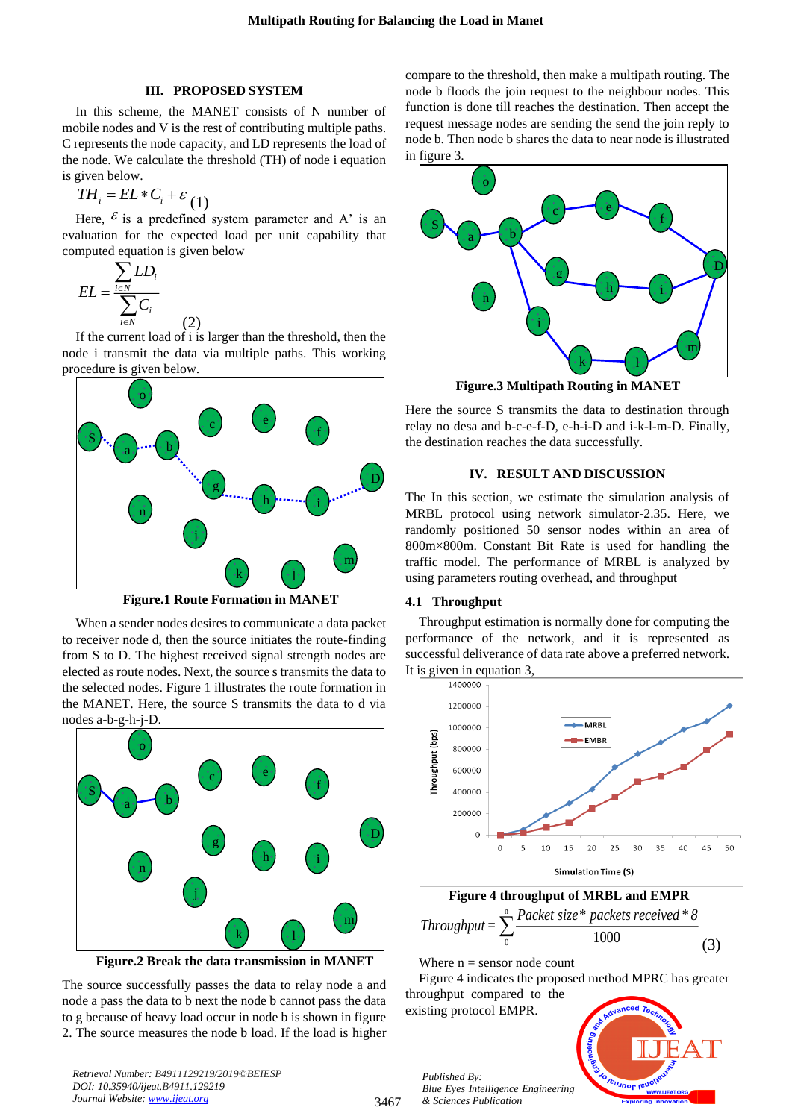# **III. PROPOSED SYSTEM**

In this scheme, the MANET consists of N number of mobile nodes and V is the rest of contributing multiple paths. C represents the node capacity, and LD represents the load of the node. We calculate the threshold (TH) of node i equation is given below.

$$
TH_i = EL \cdot C_i + \varepsilon_{(1)}
$$

Here,  $\epsilon$  is a predefined system parameter and A' is an evaluation for the expected load per unit capability that computed equation is given below

$$
EL = \frac{\sum_{i \in N} LD_i}{\sum_{i \in N} C_i}
$$

If the current load of i is larger than the threshold, then the node i transmit the data via multiple paths. This working procedure is given below.

(2)



**Figure.1 Route Formation in MANET**

When a sender nodes desires to communicate a data packet to receiver node d, then the source initiates the route-finding from S to D. The highest received signal strength nodes are elected as route nodes. Next, the source s transmits the data to the selected nodes. Figure 1 illustrates the route formation in the MANET. Here, the source S transmits the data to d via nodes a-b-g-h-j-D.



 **Figure.2 Break the data transmission in MANET**

The source successfully passes the data to relay node a and node a pass the data to b next the node b cannot pass the data to g because of heavy load occur in node b is shown in figure 2. The source measures the node b load. If the load is higher compare to the threshold, then make a multipath routing. The node b floods the join request to the neighbour nodes. This function is done till reaches the destination. Then accept the request message nodes are sending the send the join reply to node b. Then node b shares the data to near node is illustrated in figure 3.



 **Figure.3 Multipath Routing in MANET**

Here the source S transmits the data to destination through relay no desa and b-c-e-f-D, e-h-i-D and i-k-l-m-D. Finally, the destination reaches the data successfully.

# **IV. RESULT AND DISCUSSION**

The In this section, we estimate the simulation analysis of MRBL protocol using network simulator-2.35. Here, we randomly positioned 50 sensor nodes within an area of 800m×800m. Constant Bit Rate is used for handling the traffic model. The performance of MRBL is analyzed by using parameters routing overhead, and throughput

## **4.1 Throughput**

Throughput estimation is normally done for computing the performance of the network, and it is represented as successful deliverance of data rate above a preferred network. It is given in equation 3,



 **Figure 4 throughput of MRBL and EMPR**

n  $Phrought = \sum_{0}^{n} \frac{Packet\ size^* packets\ received^*8}{1000}$ (3)

Where  $n =$  sensor node count

Figure 4 indicates the proposed method MPRC has greater throughput compared to the

existing protocol EMPR.



*Retrieval Number: B4911129219/2019©BEIESP DOI: 10.35940/ijeat.B4911.129219 Journal Website[: www.ijeat.org](http://www.ijeat.org/)*

3467

*Published By: Blue Eyes Intelligence Engineering & Sciences Publication*